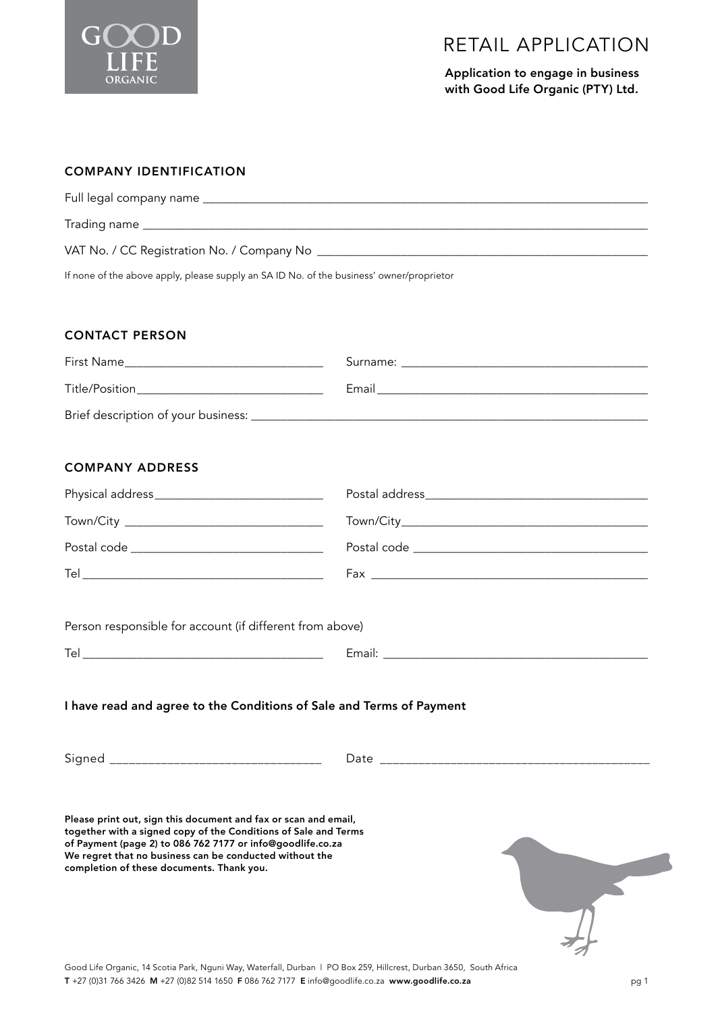

Application to engage in business with Good Life Organic (PTY) Ltd.

## COMPANY IDENTIFICATION

| Full legal company name ____________________                                             |
|------------------------------------------------------------------------------------------|
|                                                                                          |
|                                                                                          |
|                                                                                          |
|                                                                                          |
|                                                                                          |
| If none of the above apply, please supply an SA ID No. of the business' owner/proprietor |

#### CONTACT PERSON

| First Name                          | Surname: |
|-------------------------------------|----------|
|                                     |          |
| Title/Position                      | Email    |
| Brief description of your business: |          |
|                                     |          |

# COMPANY ADDRESS

| Tel |  |
|-----|--|

Person responsible for account (if different from above)

| $\sim$ |  |  |
|--------|--|--|
|        |  |  |

## I have read and agree to the Conditions of Sale and Terms of Payment

Signed \_\_\_\_\_\_\_\_\_\_\_\_\_\_\_\_\_\_\_\_\_\_\_\_\_\_\_\_\_\_\_\_\_ Date \_\_\_\_\_\_\_\_\_\_\_\_\_\_\_\_\_\_\_\_\_\_\_\_\_\_\_\_\_\_\_\_\_\_\_\_\_\_\_\_\_\_

Please print out, sign this document and fax or scan and email, together with a signed copy of the Conditions of Sale and Terms of Payment (page 2) to 086 762 7177 or info@goodlife.co.za We regret that no business can be conducted without the completion of these documents. Thank you.



Good Life Organic, 14 Scotia Park, Nguni Way, Waterfall, Durban | PO Box 259, Hillcrest, Durban 3650, South Africa T +27 (0)31 766 3426 M +27 (0)82 514 1650 F 086 762 7177 E info@goodlife.co.za www.goodlife.co.za